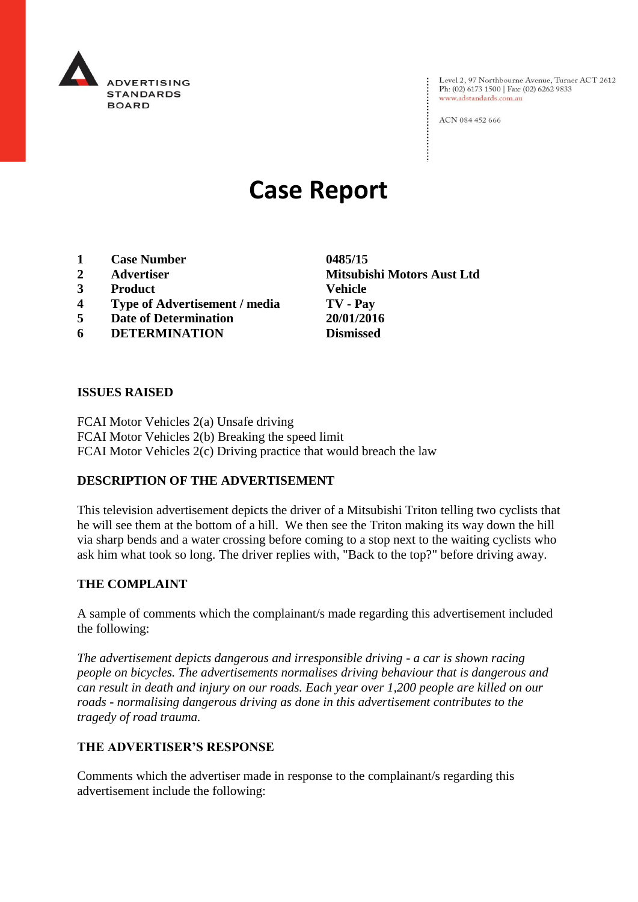

Level 2, 97 Northbourne Avenue, Turner ACT 2612<br>Ph: (02) 6173 1500 | Fax: (02) 6262 9833 www.adstandards.com.au

ACN 084 452 666

# **Case Report**

- **1 Case Number 0485/15**
- 
- **3 Product Vehicle**
- **4 Type of Advertisement / media TV - Pay**
- **5 Date of Determination 20/01/2016**
- **6 DETERMINATION Dismissed**

**ISSUES RAISED**

FCAI Motor Vehicles 2(a) Unsafe driving FCAI Motor Vehicles 2(b) Breaking the speed limit FCAI Motor Vehicles 2(c) Driving practice that would breach the law

## **DESCRIPTION OF THE ADVERTISEMENT**

This television advertisement depicts the driver of a Mitsubishi Triton telling two cyclists that he will see them at the bottom of a hill. We then see the Triton making its way down the hill via sharp bends and a water crossing before coming to a stop next to the waiting cyclists who ask him what took so long. The driver replies with, "Back to the top?" before driving away.

#### **THE COMPLAINT**

A sample of comments which the complainant/s made regarding this advertisement included the following:

*The advertisement depicts dangerous and irresponsible driving - a car is shown racing people on bicycles. The advertisements normalises driving behaviour that is dangerous and can result in death and injury on our roads. Each year over 1,200 people are killed on our roads - normalising dangerous driving as done in this advertisement contributes to the tragedy of road trauma.*

#### **THE ADVERTISER'S RESPONSE**

Comments which the advertiser made in response to the complainant/s regarding this advertisement include the following:

**2 Advertiser Mitsubishi Motors Aust Ltd**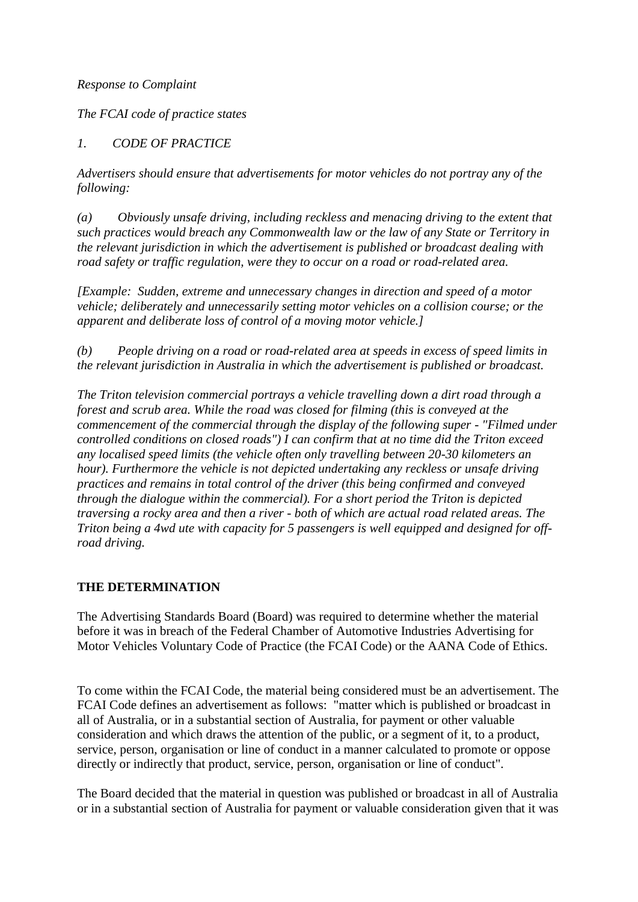#### *Response to Complaint*

*The FCAI code of practice states* 

# *1. CODE OF PRACTICE*

*Advertisers should ensure that advertisements for motor vehicles do not portray any of the following:* 

*(a) Obviously unsafe driving, including reckless and menacing driving to the extent that such practices would breach any Commonwealth law or the law of any State or Territory in the relevant jurisdiction in which the advertisement is published or broadcast dealing with road safety or traffic regulation, were they to occur on a road or road-related area.* 

*[Example: Sudden, extreme and unnecessary changes in direction and speed of a motor vehicle; deliberately and unnecessarily setting motor vehicles on a collision course; or the apparent and deliberate loss of control of a moving motor vehicle.]* 

*(b) People driving on a road or road-related area at speeds in excess of speed limits in the relevant jurisdiction in Australia in which the advertisement is published or broadcast.* 

*The Triton television commercial portrays a vehicle travelling down a dirt road through a forest and scrub area. While the road was closed for filming (this is conveyed at the commencement of the commercial through the display of the following super - "Filmed under controlled conditions on closed roads") I can confirm that at no time did the Triton exceed any localised speed limits (the vehicle often only travelling between 20-30 kilometers an hour). Furthermore the vehicle is not depicted undertaking any reckless or unsafe driving practices and remains in total control of the driver (this being confirmed and conveyed through the dialogue within the commercial). For a short period the Triton is depicted traversing a rocky area and then a river - both of which are actual road related areas. The Triton being a 4wd ute with capacity for 5 passengers is well equipped and designed for offroad driving.*

## **THE DETERMINATION**

The Advertising Standards Board (Board) was required to determine whether the material before it was in breach of the Federal Chamber of Automotive Industries Advertising for Motor Vehicles Voluntary Code of Practice (the FCAI Code) or the AANA Code of Ethics.

To come within the FCAI Code, the material being considered must be an advertisement. The FCAI Code defines an advertisement as follows: "matter which is published or broadcast in all of Australia, or in a substantial section of Australia, for payment or other valuable consideration and which draws the attention of the public, or a segment of it, to a product, service, person, organisation or line of conduct in a manner calculated to promote or oppose directly or indirectly that product, service, person, organisation or line of conduct".

The Board decided that the material in question was published or broadcast in all of Australia or in a substantial section of Australia for payment or valuable consideration given that it was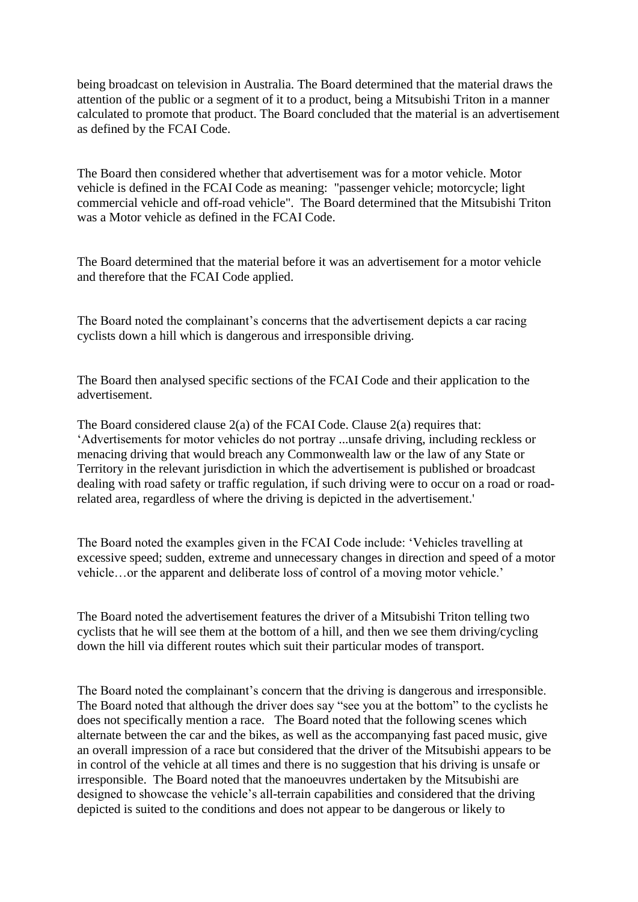being broadcast on television in Australia. The Board determined that the material draws the attention of the public or a segment of it to a product, being a Mitsubishi Triton in a manner calculated to promote that product. The Board concluded that the material is an advertisement as defined by the FCAI Code.

The Board then considered whether that advertisement was for a motor vehicle. Motor vehicle is defined in the FCAI Code as meaning: "passenger vehicle; motorcycle; light commercial vehicle and off-road vehicle". The Board determined that the Mitsubishi Triton was a Motor vehicle as defined in the FCAI Code.

The Board determined that the material before it was an advertisement for a motor vehicle and therefore that the FCAI Code applied.

The Board noted the complainant's concerns that the advertisement depicts a car racing cyclists down a hill which is dangerous and irresponsible driving.

The Board then analysed specific sections of the FCAI Code and their application to the advertisement.

The Board considered clause 2(a) of the FCAI Code. Clause 2(a) requires that: 'Advertisements for motor vehicles do not portray ...unsafe driving, including reckless or menacing driving that would breach any Commonwealth law or the law of any State or Territory in the relevant jurisdiction in which the advertisement is published or broadcast dealing with road safety or traffic regulation, if such driving were to occur on a road or roadrelated area, regardless of where the driving is depicted in the advertisement.'

The Board noted the examples given in the FCAI Code include: 'Vehicles travelling at excessive speed; sudden, extreme and unnecessary changes in direction and speed of a motor vehicle…or the apparent and deliberate loss of control of a moving motor vehicle.'

The Board noted the advertisement features the driver of a Mitsubishi Triton telling two cyclists that he will see them at the bottom of a hill, and then we see them driving/cycling down the hill via different routes which suit their particular modes of transport.

The Board noted the complainant's concern that the driving is dangerous and irresponsible. The Board noted that although the driver does say "see you at the bottom" to the cyclists he does not specifically mention a race. The Board noted that the following scenes which alternate between the car and the bikes, as well as the accompanying fast paced music, give an overall impression of a race but considered that the driver of the Mitsubishi appears to be in control of the vehicle at all times and there is no suggestion that his driving is unsafe or irresponsible. The Board noted that the manoeuvres undertaken by the Mitsubishi are designed to showcase the vehicle's all-terrain capabilities and considered that the driving depicted is suited to the conditions and does not appear to be dangerous or likely to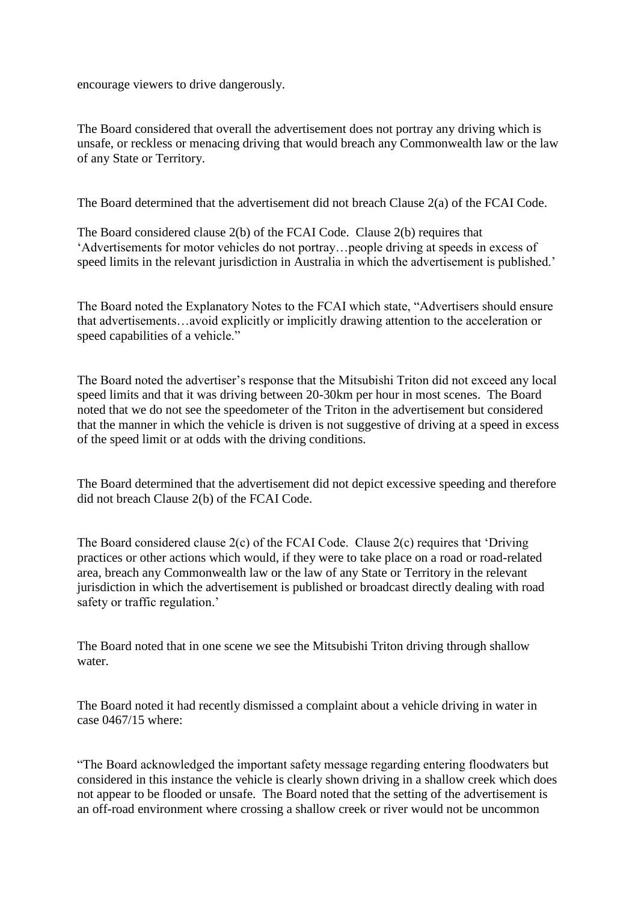encourage viewers to drive dangerously.

The Board considered that overall the advertisement does not portray any driving which is unsafe, or reckless or menacing driving that would breach any Commonwealth law or the law of any State or Territory.

The Board determined that the advertisement did not breach Clause 2(a) of the FCAI Code.

The Board considered clause 2(b) of the FCAI Code. Clause 2(b) requires that 'Advertisements for motor vehicles do not portray…people driving at speeds in excess of speed limits in the relevant jurisdiction in Australia in which the advertisement is published.'

The Board noted the Explanatory Notes to the FCAI which state, "Advertisers should ensure that advertisements…avoid explicitly or implicitly drawing attention to the acceleration or speed capabilities of a vehicle."

The Board noted the advertiser's response that the Mitsubishi Triton did not exceed any local speed limits and that it was driving between 20-30km per hour in most scenes. The Board noted that we do not see the speedometer of the Triton in the advertisement but considered that the manner in which the vehicle is driven is not suggestive of driving at a speed in excess of the speed limit or at odds with the driving conditions.

The Board determined that the advertisement did not depict excessive speeding and therefore did not breach Clause 2(b) of the FCAI Code.

The Board considered clause 2(c) of the FCAI Code. Clause 2(c) requires that 'Driving practices or other actions which would, if they were to take place on a road or road-related area, breach any Commonwealth law or the law of any State or Territory in the relevant jurisdiction in which the advertisement is published or broadcast directly dealing with road safety or traffic regulation.'

The Board noted that in one scene we see the Mitsubishi Triton driving through shallow water.

The Board noted it had recently dismissed a complaint about a vehicle driving in water in case 0467/15 where:

"The Board acknowledged the important safety message regarding entering floodwaters but considered in this instance the vehicle is clearly shown driving in a shallow creek which does not appear to be flooded or unsafe. The Board noted that the setting of the advertisement is an off-road environment where crossing a shallow creek or river would not be uncommon